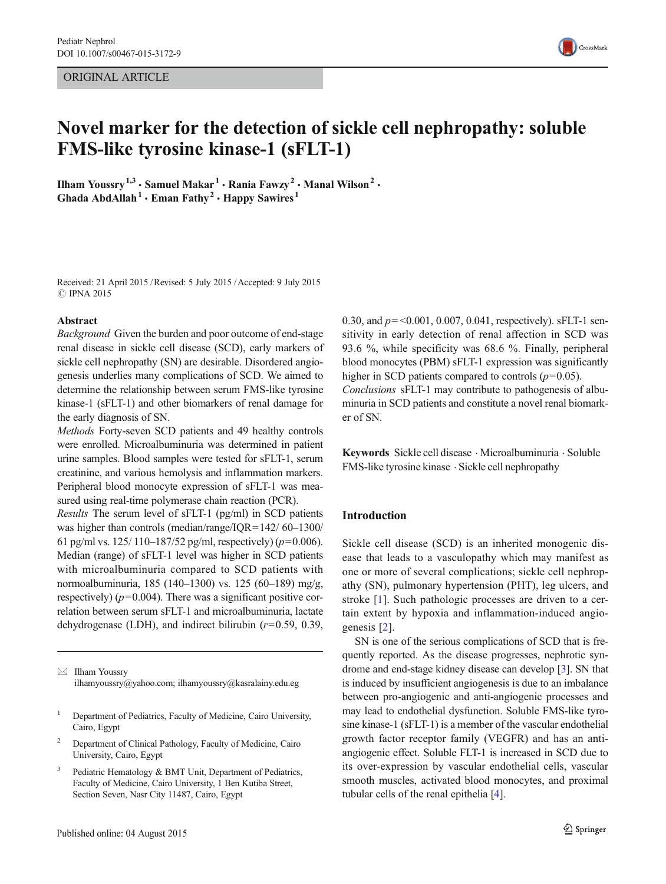## ORIGINAL ARTICLE



# Novel marker for the detection of sickle cell nephropathy: soluble FMS-like tyrosine kinase-1 (sFLT-1)

Ilham Youssry<sup>1,3</sup>  $\cdot$  Samuel Makar<sup>1</sup>  $\cdot$  Rania Fawzy<sup>2</sup>  $\cdot$  Manal Wilson<sup>2</sup>  $\cdot$ Ghada AbdAllah<sup>1</sup>  $\cdot$  Eman Fathy<sup>2</sup>  $\cdot$  Happy Sawires<sup>1</sup>

Received: 21 April 2015 /Revised: 5 July 2015 /Accepted: 9 July 2015 **C** IPNA 2015

#### Abstract

Background Given the burden and poor outcome of end-stage renal disease in sickle cell disease (SCD), early markers of sickle cell nephropathy (SN) are desirable. Disordered angiogenesis underlies many complications of SCD. We aimed to determine the relationship between serum FMS-like tyrosine kinase-1 (sFLT-1) and other biomarkers of renal damage for the early diagnosis of SN.

Methods Forty-seven SCD patients and 49 healthy controls were enrolled. Microalbuminuria was determined in patient urine samples. Blood samples were tested for sFLT-1, serum creatinine, and various hemolysis and inflammation markers. Peripheral blood monocyte expression of sFLT-1 was measured using real-time polymerase chain reaction (PCR).

Results The serum level of sFLT-1 (pg/ml) in SCD patients was higher than controls (median/range/IQR=142/ 60–1300/ 61 pg/ml vs. 125/ 110–187/52 pg/ml, respectively) ( $p=0.006$ ). Median (range) of sFLT-1 level was higher in SCD patients with microalbuminuria compared to SCD patients with normoalbuminuria, 185 (140–1300) vs. 125 (60–189) mg/g, respectively) ( $p=0.004$ ). There was a significant positive correlation between serum sFLT-1 and microalbuminuria, lactate dehydrogenase (LDH), and indirect bilirubin  $(r=0.59, 0.39,$ 

 $\boxtimes$  Ilham Youssry ilhamyoussry@yahoo.com; ilhamyoussry@kasralainy.edu.eg

- <sup>2</sup> Department of Clinical Pathology, Faculty of Medicine, Cairo University, Cairo, Egypt
- Pediatric Hematology & BMT Unit, Department of Pediatrics, Faculty of Medicine, Cairo University, 1 Ben Kutiba Street, Section Seven, Nasr City 11487, Cairo, Egypt

0.30, and  $p = 0.001, 0.007, 0.041$ , respectively). sFLT-1 sensitivity in early detection of renal affection in SCD was 93.6 %, while specificity was 68.6 %. Finally, peripheral blood monocytes (PBM) sFLT-1 expression was significantly higher in SCD patients compared to controls  $(p=0.05)$ . Conclusions sFLT-1 may contribute to pathogenesis of albuminuria in SCD patients and constitute a novel renal biomarker of SN.

Keywords Sickle cell disease . Microalbuminuria . Soluble FMS-like tyrosine kinase . Sickle cell nephropathy

## Introduction

Sickle cell disease (SCD) is an inherited monogenic disease that leads to a vasculopathy which may manifest as one or more of several complications; sickle cell nephropathy (SN), pulmonary hypertension (PHT), leg ulcers, and stroke [[1\]](#page-4-0). Such pathologic processes are driven to a certain extent by hypoxia and inflammation-induced angiogenesis [\[2](#page-4-0)].

SN is one of the serious complications of SCD that is frequently reported. As the disease progresses, nephrotic syndrome and end-stage kidney disease can develop [[3\]](#page-4-0). SN that is induced by insufficient angiogenesis is due to an imbalance between pro-angiogenic and anti-angiogenic processes and may lead to endothelial dysfunction. Soluble FMS-like tyrosine kinase-1 (sFLT-1) is a member of the vascular endothelial growth factor receptor family (VEGFR) and has an antiangiogenic effect. Soluble FLT-1 is increased in SCD due to its over-expression by vascular endothelial cells, vascular smooth muscles, activated blood monocytes, and proximal tubular cells of the renal epithelia [\[4\]](#page-4-0).

<sup>&</sup>lt;sup>1</sup> Department of Pediatrics, Faculty of Medicine, Cairo University, Cairo, Egypt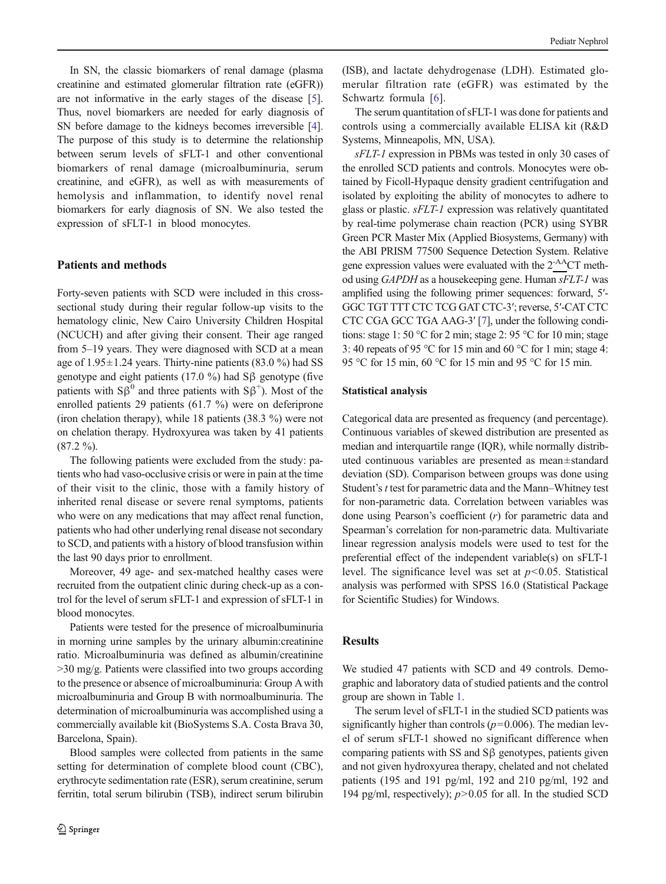In SN, the classic biomarkers of renal damage (plasma creatinine and estimated glomerular filtration rate (eGFR)) are not informative in the early stages of the disease [[5\]](#page-5-0). Thus, novel biomarkers are needed for early diagnosis of SN before damage to the kidneys becomes irreversible [[4\]](#page-4-0). The purpose of this study is to determine the relationship between serum levels of sFLT-1 and other conventional biomarkers of renal damage (microalbuminuria, serum creatinine, and eGFR), as well as with measurements of hemolysis and inflammation, to identify novel renal biomarkers for early diagnosis of SN. We also tested the expression of sFLT-1 in blood monocytes.

# Patients and methods

Forty-seven patients with SCD were included in this crosssectional study during their regular follow-up visits to the hematology clinic, New Cairo University Children Hospital (NCUCH) and after giving their consent. Their age ranged from 5–19 years. They were diagnosed with SCD at a mean age of  $1.95 \pm 1.24$  years. Thirty-nine patients (83.0 %) had SS genotype and eight patients (17.0 %) had Sβ genotype (five patients with  $S\beta^0$  and three patients with  $S\beta^+$ ). Most of the enrolled patients 29 patients (61.7 %) were on deferiprone (iron chelation therapy), while 18 patients (38.3 %) were not on chelation therapy. Hydroxyurea was taken by 41 patients  $(87.2 \frac{9}{6})$ .

The following patients were excluded from the study: patients who had vaso-occlusive crisis or were in pain at the time of their visit to the clinic, those with a family history of inherited renal disease or severe renal symptoms, patients who were on any medications that may affect renal function, patients who had other underlying renal disease not secondary to SCD, and patients with a history of blood transfusion within the last 90 days prior to enrollment.

Moreover, 49 age- and sex-matched healthy cases were recruited from the outpatient clinic during check-up as a control for the level of serum sFLT-1 and expression of sFLT-1 in blood monocytes.

Patients were tested for the presence of microalbuminuria in morning urine samples by the urinary albumin:creatinine ratio. Microalbuminuria was defined as albumin/creatinine >30 mg/g. Patients were classified into two groups according to the presence or absence of microalbuminuria: Group Awith microalbuminuria and Group B with normoalbuminuria. The determination of microalbuminuria was accomplished using a commercially available kit (BioSystems S.A. Costa Brava 30, Barcelona, Spain).

Blood samples were collected from patients in the same setting for determination of complete blood count (CBC), erythrocyte sedimentation rate (ESR), serum creatinine, serum ferritin, total serum bilirubin (TSB), indirect serum bilirubin

(ISB), and lactate dehydrogenase (LDH). Estimated glomerular filtration rate (eGFR) was estimated by the Schwartz formula [[6\]](#page-5-0).

The serum quantitation of sFLT-1 was done for patients and controls using a commercially available ELISA kit (R&D Systems, Minneapolis, MN, USA).

sFLT-1 expression in PBMs was tested in only 30 cases of the enrolled SCD patients and controls. Monocytes were obtained by Ficoll-Hypaque density gradient centrifugation and isolated by exploiting the ability of monocytes to adhere to glass or plastic. sFLT-1 expression was relatively quantitated by real-time polymerase chain reaction (PCR) using SYBR Green PCR Master Mix (Applied Biosystems, Germany) with the ABI PRISM 77500 Sequence Detection System. Relative gene expression values were evaluated with the  $2<sup>-AA</sup>CT$  method using GAPDH as a housekeeping gene. Human sFLT-1 was amplified using the following primer sequences: forward, 5′- GGC TGT TTT CTC TCG GAT CTC-3′; reverse, 5′-CAT CTC CTC CGA GCC TGA AAG-3′ [[7](#page-5-0)], under the following conditions: stage 1: 50 °C for 2 min; stage 2: 95 °C for 10 min; stage 3: 40 repeats of 95 °C for 15 min and 60 °C for 1 min; stage 4: 95 °C for 15 min, 60 °C for 15 min and 95 °C for 15 min.

#### Statistical analysis

Categorical data are presented as frequency (and percentage). Continuous variables of skewed distribution are presented as median and interquartile range (IQR), while normally distributed continuous variables are presented as mean±standard deviation (SD). Comparison between groups was done using Student's t test for parametric data and the Mann–Whitney test for non-parametric data. Correlation between variables was done using Pearson's coefficient (r) for parametric data and Spearman's correlation for non-parametric data. Multivariate linear regression analysis models were used to test for the preferential effect of the independent variable(s) on sFLT-1 level. The significance level was set at  $p<0.05$ . Statistical analysis was performed with SPSS 16.0 (Statistical Package for Scientific Studies) for Windows.

# Results

We studied 47 patients with SCD and 49 controls. Demographic and laboratory data of studied patients and the control group are shown in Table [1](#page-2-0).

The serum level of sFLT-1 in the studied SCD patients was significantly higher than controls ( $p=0.006$ ). The median level of serum sFLT-1 showed no significant difference when comparing patients with SS and Sβ genotypes, patients given and not given hydroxyurea therapy, chelated and not chelated patients (195 and 191 pg/ml, 192 and 210 pg/ml, 192 and 194 pg/ml, respectively);  $p > 0.05$  for all. In the studied SCD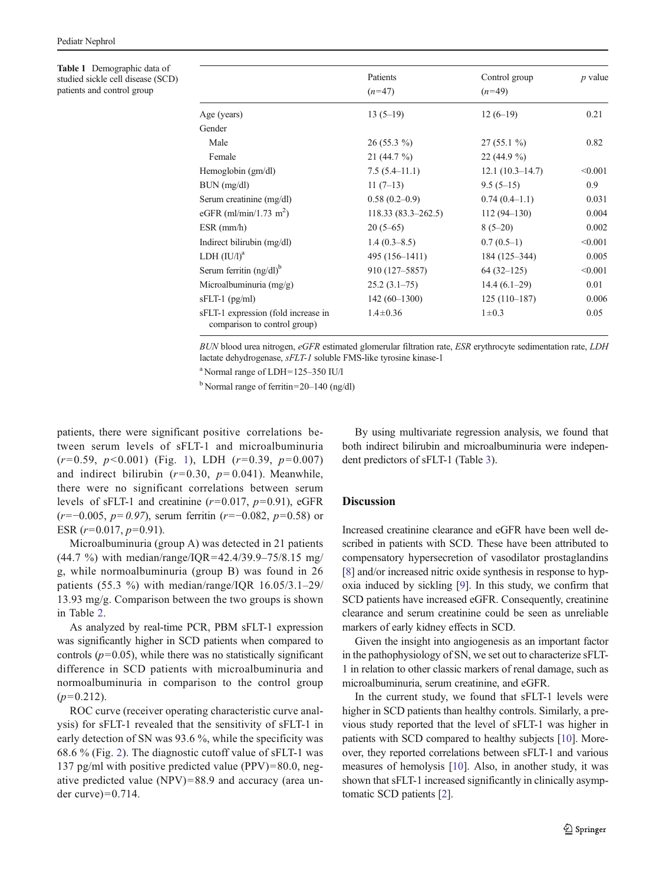<span id="page-2-0"></span>Table 1 Demographic data of studied sickle cell disease (SCD) patients and control group

|                                                                     | Patients             | Control group     | $p$ value |
|---------------------------------------------------------------------|----------------------|-------------------|-----------|
|                                                                     | $(n=47)$             | $(n=49)$          |           |
|                                                                     |                      |                   |           |
| Age (years)                                                         | $13(5-19)$           | $12(6-19)$        | 0.21      |
| Gender                                                              |                      |                   |           |
| Male                                                                | $26(55.3\%)$         | $27(55.1\%)$      | 0.82      |
| Female                                                              | $21(44.7\%)$         | $22(44.9\%)$      |           |
| Hemoglobin (gm/dl)                                                  | $7.5(5.4-11.1)$      | $12.1(10.3-14.7)$ | < 0.001   |
| BUN (mg/dl)                                                         | $11(7-13)$           | $9.5(5-15)$       | 0.9       |
| Serum creatinine (mg/dl)                                            | $0.58(0.2-0.9)$      | $0.74(0.4-1.1)$   | 0.031     |
| eGFR (ml/min/1.73 m <sup>2</sup> )                                  | $118.33(83.3-262.5)$ | $112(94 - 130)$   | 0.004     |
| $ESR$ (mm/h)                                                        | $20(5-65)$           | $8(5-20)$         | 0.002     |
| Indirect bilirubin (mg/dl)                                          | $1.4(0.3-8.5)$       | $0.7(0.5-1)$      | < 0.001   |
| LDH $(IU/l)^a$                                                      | 495 (156-1411)       | 184 (125–344)     | 0.005     |
| Serum ferritin $(ng/dl)^b$                                          | 910 (127–5857)       | $64(32-125)$      | < 0.001   |
| Microalbuminuria $(mg/g)$                                           | $25.2(3.1-75)$       | $14.4(6.1-29)$    | 0.01      |
| $sFLT-1$ (pg/ml)                                                    | $142(60-1300)$       | $125(110-187)$    | 0.006     |
| sFLT-1 expression (fold increase in<br>comparison to control group) | $1.4 \pm 0.36$       | $1 \pm 0.3$       | 0.05      |

BUN blood urea nitrogen, eGFR estimated glomerular filtration rate, ESR erythrocyte sedimentation rate, LDH lactate dehydrogenase, sFLT-1 soluble FMS-like tyrosine kinase-1

a Normal range of LDH=125–350 IU/l

<sup>b</sup> Normal range of ferritin=20–140 (ng/dl)

patients, there were significant positive correlations between serum levels of sFLT-1 and microalbuminuria  $(r=0.59, p<0.001)$  $(r=0.59, p<0.001)$  $(r=0.59, p<0.001)$  (Fig. 1), LDH  $(r=0.39, p=0.007)$ and indirect bilirubin  $(r=0.30, p=0.041)$ . Meanwhile, there were no significant correlations between serum levels of sFLT-1 and creatinine  $(r=0.017, p=0.91)$ , eGFR  $(r=-0.005, p=0.97)$ , serum ferritin  $(r=-0.082, p=0.58)$  or ESR  $(r=0.017, p=0.91)$ .

Microalbuminuria (group A) was detected in 21 patients (44.7 %) with median/range/IQR=42.4/39.9–75/8.15 mg/ g, while normoalbuminuria (group B) was found in 26 patients (55.3 %) with median/range/IQR 16.05/3.1–29/ 13.93 mg/g. Comparison between the two groups is shown in Table [2](#page-3-0).

As analyzed by real-time PCR, PBM sFLT-1 expression was significantly higher in SCD patients when compared to controls  $(p=0.05)$ , while there was no statistically significant difference in SCD patients with microalbuminuria and normoalbuminuria in comparison to the control group  $(p=0.212)$ .

ROC curve (receiver operating characteristic curve analysis) for sFLT-1 revealed that the sensitivity of sFLT-1 in early detection of SN was 93.6 %, while the specificity was 68.6 % (Fig. [2](#page-4-0)). The diagnostic cutoff value of sFLT-1 was 137 pg/ml with positive predicted value (PPV)=80.0, negative predicted value (NPV)=88.9 and accuracy (area under curve $)=0.714$ .

By using multivariate regression analysis, we found that both indirect bilirubin and microalbuminuria were independent predictors of sFLT-1 (Table [3](#page-4-0)).

# **Discussion**

Increased creatinine clearance and eGFR have been well described in patients with SCD. These have been attributed to compensatory hypersecretion of vasodilator prostaglandins [\[8](#page-5-0)] and/or increased nitric oxide synthesis in response to hypoxia induced by sickling [\[9](#page-5-0)]. In this study, we confirm that SCD patients have increased eGFR. Consequently, creatinine clearance and serum creatinine could be seen as unreliable markers of early kidney effects in SCD.

Given the insight into angiogenesis as an important factor in the pathophysiology of SN, we set out to characterize sFLT-1 in relation to other classic markers of renal damage, such as microalbuminuria, serum creatinine, and eGFR.

In the current study, we found that sFLT-1 levels were higher in SCD patients than healthy controls. Similarly, a previous study reported that the level of sFLT-1 was higher in patients with SCD compared to healthy subjects [[10](#page-5-0)]. Moreover, they reported correlations between sFLT-1 and various measures of hemolysis [[10\]](#page-5-0). Also, in another study, it was shown that sFLT-1 increased significantly in clinically asymptomatic SCD patients [\[2\]](#page-4-0).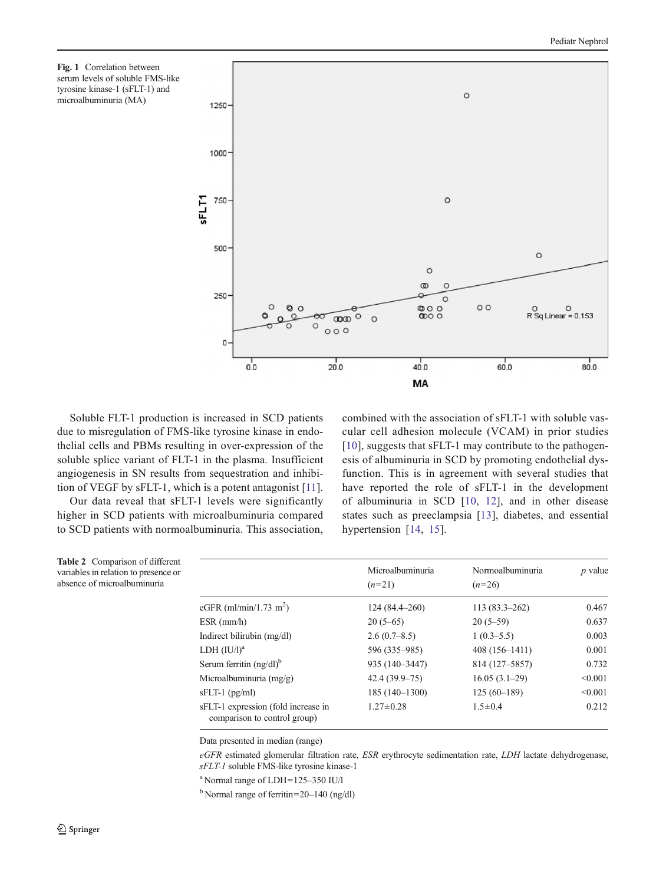<span id="page-3-0"></span>



Soluble FLT-1 production is increased in SCD patients due to misregulation of FMS-like tyrosine kinase in endothelial cells and PBMs resulting in over-expression of the soluble splice variant of FLT-1 in the plasma. Insufficient angiogenesis in SN results from sequestration and inhibition of VEGF by sFLT-1, which is a potent antagonist [\[11](#page-5-0)].

Our data reveal that sFLT-1 levels were significantly higher in SCD patients with microalbuminuria compared to SCD patients with normoalbuminuria. This association,

Table 2 Comparison of different variables in relation to presence or absence of microalbuminuria

combined with the association of sFLT-1 with soluble vascular cell adhesion molecule (VCAM) in prior studies [\[10\]](#page-5-0), suggests that sFLT-1 may contribute to the pathogenesis of albuminuria in SCD by promoting endothelial dysfunction. This is in agreement with several studies that have reported the role of sFLT-1 in the development of albuminuria in SCD [[10](#page-5-0), [12](#page-5-0)], and in other disease states such as preeclampsia [[13](#page-5-0)], diabetes, and essential hypertension [\[14](#page-5-0), [15\]](#page-5-0).

|                                                                     | Microalbuminuria<br>$(n=21)$ | Normoalbuminuria<br>$(n=26)$ | $p$ value |
|---------------------------------------------------------------------|------------------------------|------------------------------|-----------|
| eGFR (ml/min/1.73 m <sup>2</sup> )                                  | 124 (84.4–260)               | $113(83.3-262)$              | 0.467     |
| $ESR$ (mm/h)                                                        | $20(5-65)$                   | $20(5-59)$                   | 0.637     |
| Indirect bilirubin $(mg/dl)$                                        | 2.6(0.7–8.5)                 | $1(0.3-5.5)$                 | 0.003     |
| LDH $(IU/l)^a$                                                      | 596 (335–985)                | $408(156 - 1411)$            | 0.001     |
| Serum ferritin $(ng/dl)^b$                                          | 935 (140-3447)               | 814 (127–5857)               | 0.732     |
| Microalbuminuria $(mg/g)$                                           | $42.4(39.9-75)$              | $16.05(3.1-29)$              | < 0.001   |
| $sFLT-1$ (pg/ml)                                                    | $185(140-1300)$              | $125(60-189)$                | < 0.001   |
| sFLT-1 expression (fold increase in<br>comparison to control group) | $1.27 \pm 0.28$              | $1.5 \pm 0.4$                | 0.212     |

Data presented in median (range)

eGFR estimated glomerular filtration rate, ESR erythrocyte sedimentation rate, LDH lactate dehydrogenase, sFLT-1 soluble FMS-like tyrosine kinase-1

a Normal range of LDH=125–350 IU/l

<sup>b</sup> Normal range of ferritin=20–140 (ng/dl)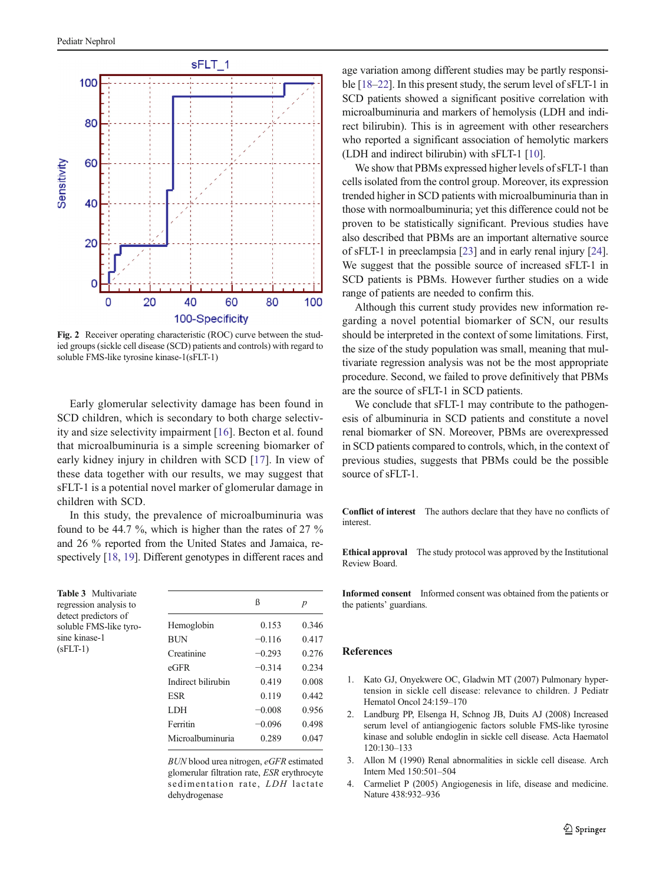<span id="page-4-0"></span>

Fig. 2 Receiver operating characteristic (ROC) curve between the studied groups (sickle cell disease (SCD) patients and controls) with regard to soluble FMS-like tyrosine kinase-1(sFLT-1)

Early glomerular selectivity damage has been found in SCD children, which is secondary to both charge selectivity and size selectivity impairment [[16\]](#page-5-0). Becton et al. found that microalbuminuria is a simple screening biomarker of early kidney injury in children with SCD [\[17](#page-5-0)]. In view of these data together with our results, we may suggest that sFLT-1 is a potential novel marker of glomerular damage in children with SCD.

In this study, the prevalence of microalbuminuria was found to be 44.7 %, which is higher than the rates of 27 % and 26 % reported from the United States and Jamaica, respectively [[18](#page-5-0), [19](#page-5-0)]. Different genotypes in different races and

Table 3 Multivariate regression analysis to detect predictors of soluble FMS-like tyrosine kinase-1  $(sFLT-1)$ 

|                    | ß        | $\boldsymbol{p}$ |
|--------------------|----------|------------------|
| Hemoglobin         | 0.153    | 0.346            |
| <b>BUN</b>         | $-0.116$ | 0.417            |
| Creatinine         | $-0.293$ | 0.276            |
| eGFR               | $-0.314$ | 0.234            |
| Indirect bilirubin | 0.419    | 0.008            |
| ESR                | 0.119    | 0.442            |
| <b>LDH</b>         | $-0.008$ | 0.956            |
| Ferritin           | $-0.096$ | 0.498            |
| Microalbuminuria   | 0.289    | 0.047            |
|                    |          |                  |

BUN blood urea nitrogen, eGFR estimated glomerular filtration rate, ESR erythrocyte sedimentation rate, LDH lactate dehydrogenase

age variation among different studies may be partly responsible [\[18](#page-5-0)–[22\]](#page-5-0). In this present study, the serum level of sFLT-1 in SCD patients showed a significant positive correlation with microalbuminuria and markers of hemolysis (LDH and indirect bilirubin). This is in agreement with other researchers who reported a significant association of hemolytic markers (LDH and indirect bilirubin) with sFLT-1 [[10](#page-5-0)].

We show that PBMs expressed higher levels of sFLT-1 than cells isolated from the control group. Moreover, its expression trended higher in SCD patients with microalbuminuria than in those with normoalbuminuria; yet this difference could not be proven to be statistically significant. Previous studies have also described that PBMs are an important alternative source of sFLT-1 in preeclampsia [[23\]](#page-5-0) and in early renal injury [[24\]](#page-5-0). We suggest that the possible source of increased sFLT-1 in SCD patients is PBMs. However further studies on a wide range of patients are needed to confirm this.

Although this current study provides new information regarding a novel potential biomarker of SCN, our results should be interpreted in the context of some limitations. First, the size of the study population was small, meaning that multivariate regression analysis was not be the most appropriate procedure. Second, we failed to prove definitively that PBMs are the source of sFLT-1 in SCD patients.

We conclude that sFLT-1 may contribute to the pathogenesis of albuminuria in SCD patients and constitute a novel renal biomarker of SN. Moreover, PBMs are overexpressed in SCD patients compared to controls, which, in the context of previous studies, suggests that PBMs could be the possible source of sFLT-1.

Conflict of interest The authors declare that they have no conflicts of interest.

Ethical approval The study protocol was approved by the Institutional Review Board.

Informed consent Informed consent was obtained from the patients or the patients' guardians.

### References

- 1. Kato GJ, Onyekwere OC, Gladwin MT (2007) Pulmonary hypertension in sickle cell disease: relevance to children. J Pediatr Hematol Oncol 24:159–170
- 2. Landburg PP, Elsenga H, Schnog JB, Duits AJ (2008) Increased serum level of antiangiogenic factors soluble FMS-like tyrosine kinase and soluble endoglin in sickle cell disease. Acta Haematol 120:130–133
- 3. Allon M (1990) Renal abnormalities in sickle cell disease. Arch Intern Med 150:501–504
- 4. Carmeliet P (2005) Angiogenesis in life, disease and medicine. Nature 438:932–936